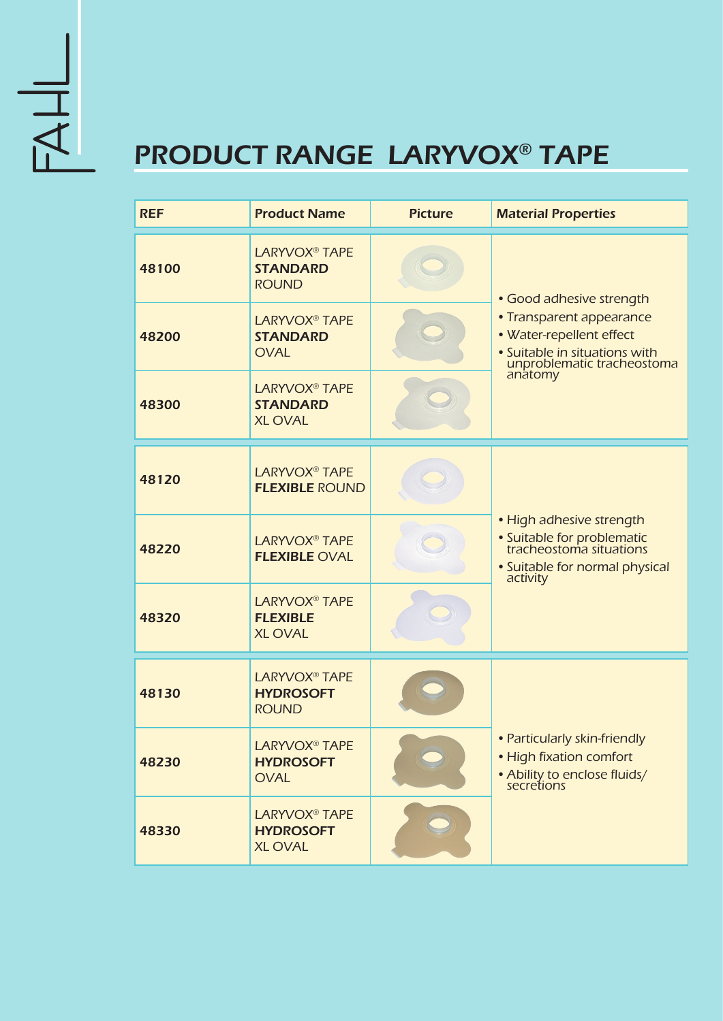

## PRODUCT RANGE LARYVOX® TAPE

| <b>REF</b> | <b>Product Name</b>                                                 | <b>Picture</b> | <b>Material Properties</b>                                                                                                                                 |
|------------|---------------------------------------------------------------------|----------------|------------------------------------------------------------------------------------------------------------------------------------------------------------|
| 48100      | <b>LARYVOX<sup>®</sup> TAPE</b><br><b>STANDARD</b><br><b>ROUND</b>  |                | • Good adhesive strength<br>• Transparent appearance<br>• Water-repellent effect<br>• Suitable in situations with<br>unproblematic tracheostoma<br>anatomy |
| 48200      | <b>LARYVOX<sup>®</sup> TAPE</b><br><b>STANDARD</b><br><b>OVAL</b>   |                |                                                                                                                                                            |
| 48300      | <b>LARYVOX<sup>®</sup> TAPE</b><br><b>STANDARD</b><br><b>XLOVAL</b> |                |                                                                                                                                                            |
| 48120      | <b>LARYVOX<sup>®</sup> TAPE</b><br><b>FLEXIBLE ROUND</b>            |                | • High adhesive strength<br>• Suitable for problematic<br>tracheostoma situations<br>• Suitable for normal physical<br>activity                            |
| 48220      | <b>LARYVOX<sup>®</sup> TAPE</b><br><b>FLEXIBLE OVAL</b>             |                |                                                                                                                                                            |
| 48320      | <b>LARYVOX<sup>®</sup> TAPE</b><br><b>FLEXIBLE</b><br><b>XLOVAL</b> |                |                                                                                                                                                            |
| 48130      | <b>LARYVOX<sup>®</sup> TAPE</b><br><b>HYDROSOFT</b><br><b>ROUND</b> |                |                                                                                                                                                            |
| 48230      | <b>LARYVOX<sup>®</sup> TAPE</b><br><b>HYDROSOFT</b><br><b>OVAL</b>  |                | • Particularly skin-friendly<br>• High fixation comfort<br>• Ability to enclose fluids/<br>secretions                                                      |
| 48330      | LARYVOX <sup>®</sup> TAPE<br><b>HYDROSOFT</b><br><b>XLOVAL</b>      |                |                                                                                                                                                            |